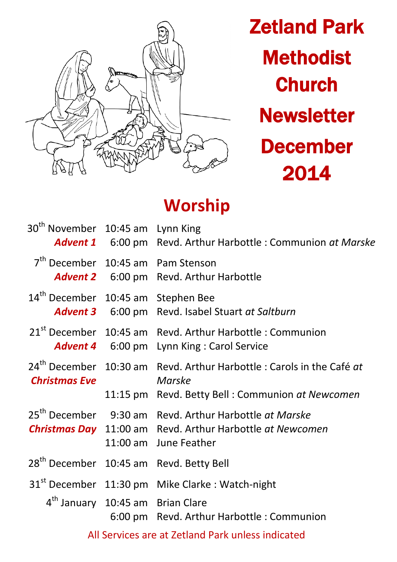

Zetland Park **Methodist Church Newsletter** December 2014

# **Worship**

| 30 <sup>th</sup> November 10:45 am Lynn King   | <b>Advent 1</b> 6:00 pm Revd. Arthur Harbottle : Communion at Marske                                                                                            |
|------------------------------------------------|-----------------------------------------------------------------------------------------------------------------------------------------------------------------|
| 7 <sup>th</sup> December 10:45 am Pam Stenson  | <b>Advent 2</b> 6:00 pm Revd. Arthur Harbottle                                                                                                                  |
| 14 <sup>th</sup> December 10:45 am Stephen Bee | <b>Advent 3</b> 6:00 pm Revd. Isabel Stuart at Saltburn                                                                                                         |
|                                                | 21 <sup>st</sup> December 10:45 am Revd. Arthur Harbottle : Communion<br><b>Advent 4</b> 6:00 pm Lynn King: Carol Service                                       |
| <b>Christmas Eve</b>                           | 24 <sup>th</sup> December 10:30 am Revd. Arthur Harbottle : Carols in the Café at<br>Marske<br>11:15 pm Revd. Betty Bell: Communion at Newcomen                 |
|                                                | 25 <sup>th</sup> December 9:30 am Revd. Arthur Harbottle at Marske<br><b>Christmas Day</b> 11:00 am Revd. Arthur Harbottle at Newcomen<br>11:00 am June Feather |
|                                                | 28 <sup>th</sup> December 10:45 am Revd. Betty Bell                                                                                                             |
|                                                | 31 <sup>st</sup> December 11:30 pm Mike Clarke : Watch-night                                                                                                    |
| 4 <sup>th</sup> January 10:45 am Brian Clare   | 6:00 pm Revd. Arthur Harbottle: Communion                                                                                                                       |
|                                                | All Services are at Zetland Park unless indicated                                                                                                               |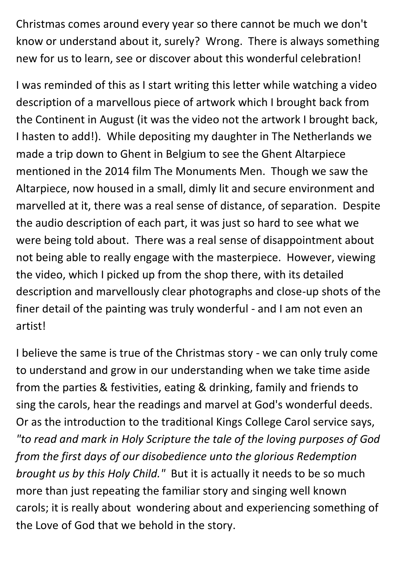Christmas comes around every year so there cannot be much we don't know or understand about it, surely? Wrong. There is always something new for us to learn, see or discover about this wonderful celebration!

I was reminded of this as I start writing this letter while watching a video description of a marvellous piece of artwork which I brought back from the Continent in August (it was the video not the artwork I brought back, I hasten to add!). While depositing my daughter in The Netherlands we made a trip down to Ghent in Belgium to see the Ghent Altarpiece mentioned in the 2014 film The Monuments Men. Though we saw the Altarpiece, now housed in a small, dimly lit and secure environment and marvelled at it, there was a real sense of distance, of separation. Despite the audio description of each part, it was just so hard to see what we were being told about. There was a real sense of disappointment about not being able to really engage with the masterpiece. However, viewing the video, which I picked up from the shop there, with its detailed description and marvellously clear photographs and close-up shots of the finer detail of the painting was truly wonderful - and I am not even an artist!

I believe the same is true of the Christmas story - we can only truly come to understand and grow in our understanding when we take time aside from the parties & festivities, eating & drinking, family and friends to sing the carols, hear the readings and marvel at God's wonderful deeds. Or as the introduction to the traditional Kings College Carol service says, *"to read and mark in Holy Scripture the tale of the loving purposes of God from the first days of our disobedience unto the glorious Redemption brought us by this Holy Child."* But it is actually it needs to be so much more than just repeating the familiar story and singing well known carols; it is really about wondering about and experiencing something of the Love of God that we behold in the story.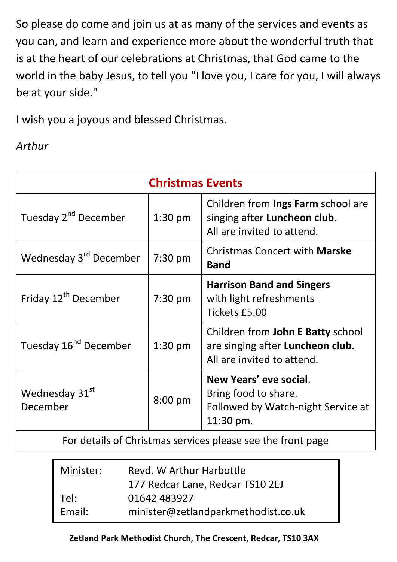So please do come and join us at as many of the services and events as you can, and learn and experience more about the wonderful truth that is at the heart of our celebrations at Christmas, that God came to the world in the baby Jesus, to tell you "I love you, I care for you, I will always be at your side."

I wish you a joyous and blessed Christmas.

## *Arthur*

| <b>Christmas Events</b>                                                                                                                                                                                                           |           |                                                                                                     |  |  |
|-----------------------------------------------------------------------------------------------------------------------------------------------------------------------------------------------------------------------------------|-----------|-----------------------------------------------------------------------------------------------------|--|--|
| Tuesday 2 <sup>nd</sup> December                                                                                                                                                                                                  | $1:30$ pm | Children from Ings Farm school are<br>singing after Luncheon club.<br>All are invited to attend.    |  |  |
| Wednesday 3 <sup>rd</sup> December                                                                                                                                                                                                | 7:30 pm   | <b>Christmas Concert with Marske</b><br><b>Band</b>                                                 |  |  |
| Friday 12 <sup>th</sup> December                                                                                                                                                                                                  | 7:30 pm   | <b>Harrison Band and Singers</b><br>with light refreshments<br>Tickets £5.00                        |  |  |
| Tuesday 16 <sup>nd</sup> December                                                                                                                                                                                                 | $1:30$ pm | Children from John E Batty school<br>are singing after Luncheon club.<br>All are invited to attend. |  |  |
| Wednesday 31st<br>December                                                                                                                                                                                                        | 8:00 pm   | New Years' eve social.<br>Bring food to share.<br>Followed by Watch-night Service at<br>11:30 pm.   |  |  |
| $\mathbf{r}$ . The set of the set of the set of the set of the set of the set of the set of the set of the set of the set of the set of the set of the set of the set of the set of the set of the set of the set of the set of t |           |                                                                                                     |  |  |

For details of Christmas services please see the front page

| Minister: | Revd. W Arthur Harbottle            |  |
|-----------|-------------------------------------|--|
|           | 177 Redcar Lane, Redcar TS10 2EJ    |  |
| Tel:      | 01642 483927                        |  |
| Email:    | minister@zetlandparkmethodist.co.uk |  |

#### **Zetland Park Methodist Church, The Crescent, Redcar, TS10 3AX**